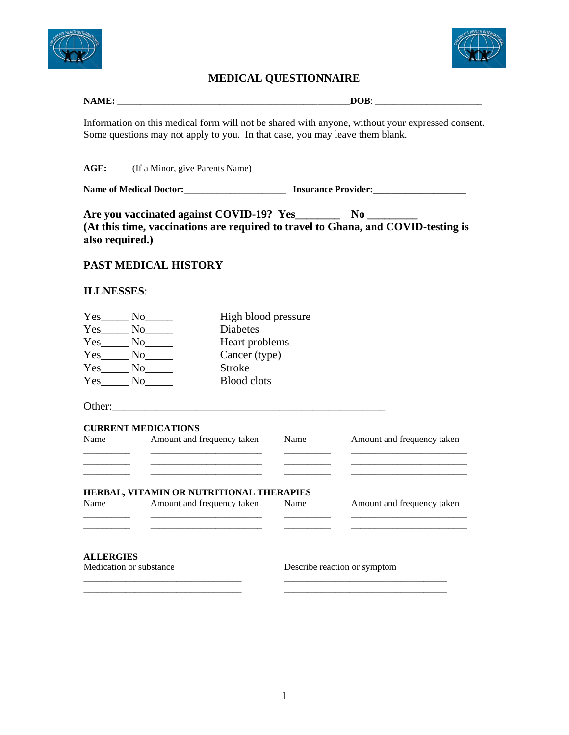



## **MEDICAL QUESTIONNAIRE**

| NAME | $- - -$ |
|------|---------|
| v    | . .     |
|      | -       |
|      | --      |

Information on this medical form will not be shared with anyone, without your expressed consent. Some questions may not apply to you. In that case, you may leave them blank.

**AGE:\_\_\_\_\_** (If a Minor, give Parents Name)\_\_\_\_\_\_\_\_\_\_\_\_\_\_\_\_\_\_\_\_\_\_\_\_\_\_\_\_\_\_\_\_\_\_\_\_\_\_\_\_\_\_\_\_\_\_\_\_\_\_

**Name of Medical Doctor:**\_\_\_\_\_\_\_\_\_\_\_\_\_\_\_\_\_\_\_\_\_\_ **Insurance Provider:\_\_\_\_\_\_\_\_\_\_\_\_\_\_\_\_\_\_\_\_**

**Are you vaccinated against COVID-19? Yes\_\_\_\_\_\_\_\_ No \_\_\_\_\_\_\_\_\_ (At this time, vaccinations are required to travel to Ghana, and COVID-testing is also required.)** 

## **PAST MEDICAL HISTORY**

## **ILLNESSES**:

| Yes | N <sub>0</sub> | High blood pressure |
|-----|----------------|---------------------|
| Yes | N <sub>0</sub> | <b>Diabetes</b>     |
| Yes | N <sub>0</sub> | Heart problems      |
| Yes | N <sub>0</sub> | Cancer (type)       |
| Yes | N <sub>0</sub> | <b>Stroke</b>       |
| Yes | Nο             | <b>Blood</b> clots  |

Other:\_\_\_\_\_\_\_\_\_\_\_\_\_\_\_\_\_\_\_\_\_\_\_\_\_\_\_\_\_\_\_\_\_\_\_\_\_\_\_\_\_\_\_\_\_\_\_\_\_

|                         | <b>CURRENT MEDICATIONS</b>               |      |                              |
|-------------------------|------------------------------------------|------|------------------------------|
| Name                    | Amount and frequency taken               | Name | Amount and frequency taken   |
|                         |                                          |      |                              |
|                         |                                          |      |                              |
|                         | HERBAL, VITAMIN OR NUTRITIONAL THERAPIES |      |                              |
| Name                    | Amount and frequency taken               | Name | Amount and frequency taken   |
|                         |                                          |      |                              |
|                         |                                          |      |                              |
| <b>ALLERGIES</b>        |                                          |      |                              |
| Medication or substance |                                          |      | Describe reaction or symptom |
|                         |                                          |      |                              |

\_\_\_\_\_\_\_\_\_\_\_\_\_\_\_\_\_\_\_\_\_\_\_\_\_\_\_\_\_\_\_\_\_\_ \_\_\_\_\_\_\_\_\_\_\_\_\_\_\_\_\_\_\_\_\_\_\_\_\_\_\_\_\_\_\_\_\_\_\_